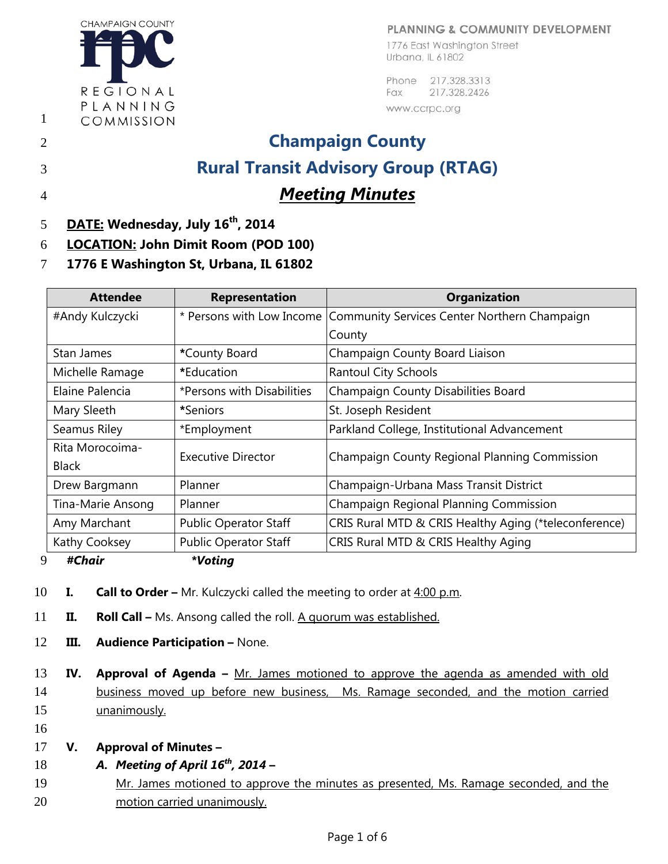## PLANNING & COMMUNITY DEVELOPMENT

**CHAMPAIGN COUNTY** REGIONAL PLANNING COMMISSION

1

1776 East Washington Street Urbana, IL 61802

Phone 217.328.3313 217.328.2426 Fax www.ccrpc.org

## 2 **Champaign County** 3 **Rural Transit Advisory Group (RTAG)** 4 *Meeting Minutes*

- 5 **DATE: Wednesday, July 16<sup>th</sup>, 2014**
- 6 **LOCATION: John Dimit Room (POD 100)**
- 7 **1776 E Washington St, Urbana, IL 61802**

| <b>Attendee</b>   | <b>Representation</b>        | <b>Organization</b>                                   |
|-------------------|------------------------------|-------------------------------------------------------|
| #Andy Kulczycki   | * Persons with Low Income    | Community Services Center Northern Champaign          |
|                   |                              | County                                                |
| Stan James        | *County Board                | Champaign County Board Liaison                        |
| Michelle Ramage   | *Education                   | <b>Rantoul City Schools</b>                           |
| Elaine Palencia   | *Persons with Disabilities   | Champaign County Disabilities Board                   |
| Mary Sleeth       | *Seniors*                    | St. Joseph Resident                                   |
| Seamus Riley      | *Employment                  | Parkland College, Institutional Advancement           |
| Rita Morocoima-   | Executive Director           | Champaign County Regional Planning Commission         |
| <b>Black</b>      |                              |                                                       |
| Drew Bargmann     | Planner                      | Champaign-Urbana Mass Transit District                |
| Tina-Marie Ansong | Planner                      | Champaign Regional Planning Commission                |
| Amy Marchant      | <b>Public Operator Staff</b> | CRIS Rural MTD & CRIS Healthy Aging (*teleconference) |
| Kathy Cooksey     | <b>Public Operator Staff</b> | CRIS Rural MTD & CRIS Healthy Aging                   |
|                   |                              |                                                       |

9 *#Chair \*Voting*

- 
- 10 **I. Call to Order –** Mr. Kulczycki called the meeting to order at 4:00 p.m.
- 11 **II. Roll Call –** Ms. Ansong called the roll. A quorum was established.
- 12 **III. Audience Participation –** None.
- 13 **IV. Approval of Agenda –** Mr. James motioned to approve the agenda as amended with old 14 business moved up before new business, Ms. Ramage seconded, and the motion carried 15 unanimously.
- 16
- 17 **V. Approval of Minutes –**
- *A.**Meeting of April 16<sup>th</sup>***, 2014**
- 19 Mr. James motioned to approve the minutes as presented, Ms. Ramage seconded, and the 20 motion carried unanimously.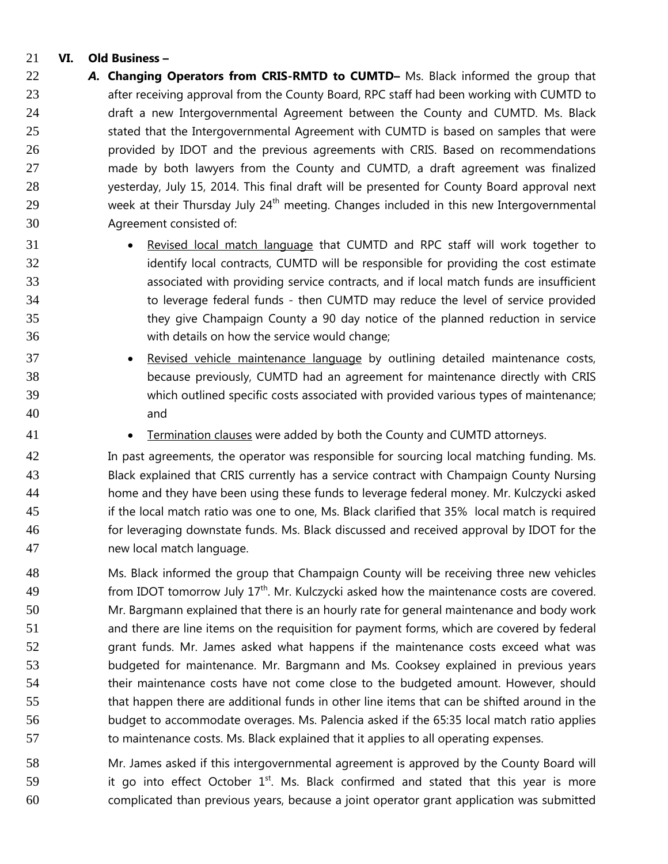## **VI. Old Business –**

- *A.* **Changing Operators from CRIS-RMTD to CUMTD–** Ms. Black informed the group that 23 after receiving approval from the County Board, RPC staff had been working with CUMTD to draft a new Intergovernmental Agreement between the County and CUMTD. Ms. Black 25 stated that the Intergovernmental Agreement with CUMTD is based on samples that were provided by IDOT and the previous agreements with CRIS. Based on recommendations made by both lawyers from the County and CUMTD, a draft agreement was finalized yesterday, July 15, 2014. This final draft will be presented for County Board approval next week at their Thursday July  $24<sup>th</sup>$  meeting. Changes included in this new Intergovernmental Agreement consisted of:
- Revised local match language that CUMTD and RPC staff will work together to 32 identify local contracts, CUMTD will be responsible for providing the cost estimate associated with providing service contracts, and if local match funds are insufficient to leverage federal funds - then CUMTD may reduce the level of service provided they give Champaign County a 90 day notice of the planned reduction in service with details on how the service would change;
- 37 Revised vehicle maintenance language by outlining detailed maintenance costs, because previously, CUMTD had an agreement for maintenance directly with CRIS which outlined specific costs associated with provided various types of maintenance; and
- 41 Termination clauses were added by both the County and CUMTD attorneys.

 In past agreements, the operator was responsible for sourcing local matching funding. Ms. Black explained that CRIS currently has a service contract with Champaign County Nursing home and they have been using these funds to leverage federal money. Mr. Kulczycki asked if the local match ratio was one to one, Ms. Black clarified that 35% local match is required for leveraging downstate funds. Ms. Black discussed and received approval by IDOT for the new local match language.

 Ms. Black informed the group that Champaign County will be receiving three new vehicles **19 from IDOT** tomorrow July  $17<sup>th</sup>$ . Mr. Kulczycki asked how the maintenance costs are covered. Mr. Bargmann explained that there is an hourly rate for general maintenance and body work and there are line items on the requisition for payment forms, which are covered by federal grant funds. Mr. James asked what happens if the maintenance costs exceed what was budgeted for maintenance. Mr. Bargmann and Ms. Cooksey explained in previous years their maintenance costs have not come close to the budgeted amount. However, should that happen there are additional funds in other line items that can be shifted around in the budget to accommodate overages. Ms. Palencia asked if the 65:35 local match ratio applies to maintenance costs. Ms. Black explained that it applies to all operating expenses.

 Mr. James asked if this intergovernmental agreement is approved by the County Board will 59  $\cdot$  it go into effect October  $1^{st}$ . Ms. Black confirmed and stated that this year is more complicated than previous years, because a joint operator grant application was submitted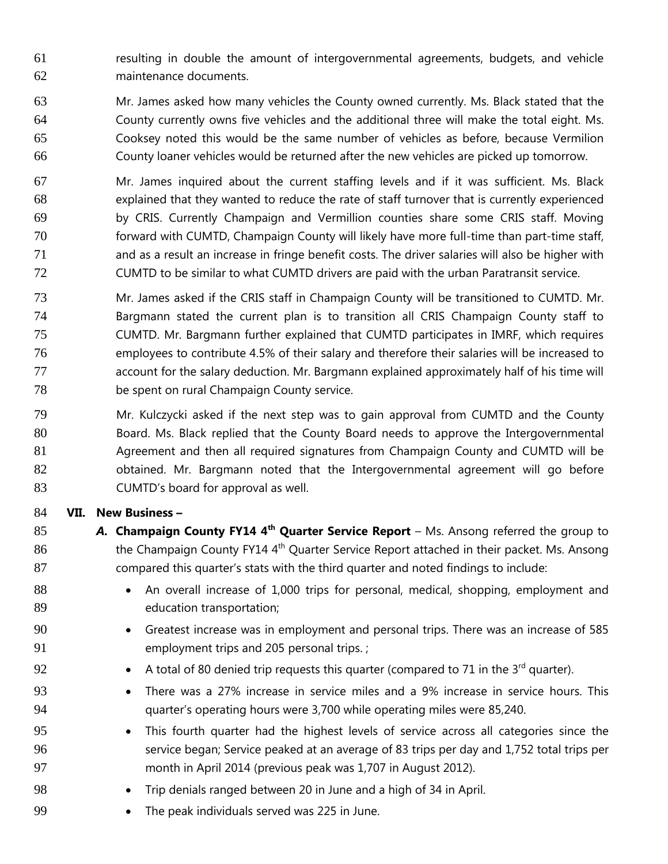resulting in double the amount of intergovernmental agreements, budgets, and vehicle maintenance documents.

- Mr. James asked how many vehicles the County owned currently. Ms. Black stated that the County currently owns five vehicles and the additional three will make the total eight. Ms. Cooksey noted this would be the same number of vehicles as before, because Vermilion County loaner vehicles would be returned after the new vehicles are picked up tomorrow.
- Mr. James inquired about the current staffing levels and if it was sufficient. Ms. Black explained that they wanted to reduce the rate of staff turnover that is currently experienced by CRIS. Currently Champaign and Vermillion counties share some CRIS staff. Moving forward with CUMTD, Champaign County will likely have more full-time than part-time staff, and as a result an increase in fringe benefit costs. The driver salaries will also be higher with CUMTD to be similar to what CUMTD drivers are paid with the urban Paratransit service.
- Mr. James asked if the CRIS staff in Champaign County will be transitioned to CUMTD. Mr. Bargmann stated the current plan is to transition all CRIS Champaign County staff to CUMTD. Mr. Bargmann further explained that CUMTD participates in IMRF, which requires employees to contribute 4.5% of their salary and therefore their salaries will be increased to 77 account for the salary deduction. Mr. Bargmann explained approximately half of his time will be spent on rural Champaign County service.
- Mr. Kulczycki asked if the next step was to gain approval from CUMTD and the County Board. Ms. Black replied that the County Board needs to approve the Intergovernmental Agreement and then all required signatures from Champaign County and CUMTD will be obtained. Mr. Bargmann noted that the Intergovernmental agreement will go before CUMTD's board for approval as well.

## **VII. New Business –**

- **A.** Champaign County FY14 4<sup>th</sup> Quarter Service Report Ms. Ansong referred the group to the Champaign County FY14 4<sup>th</sup> Quarter Service Report attached in their packet. Ms. Ansong compared this quarter's stats with the third quarter and noted findings to include:
- 88 An overall increase of 1,000 trips for personal, medical, shopping, employment and education transportation;
- 90 Greatest increase was in employment and personal trips. There was an increase of 585 employment trips and 205 personal trips. ;
- 92 A total of 80 denied trip requests this quarter (compared to 71 in the  $3^{rd}$  quarter).
- There was a 27% increase in service miles and a 9% increase in service hours. This quarter's operating hours were 3,700 while operating miles were 85,240.
- This fourth quarter had the highest levels of service across all categories since the service began; Service peaked at an average of 83 trips per day and 1,752 total trips per month in April 2014 (previous peak was 1,707 in August 2012).
- Trip denials ranged between 20 in June and a high of 34 in April.
- The peak individuals served was 225 in June.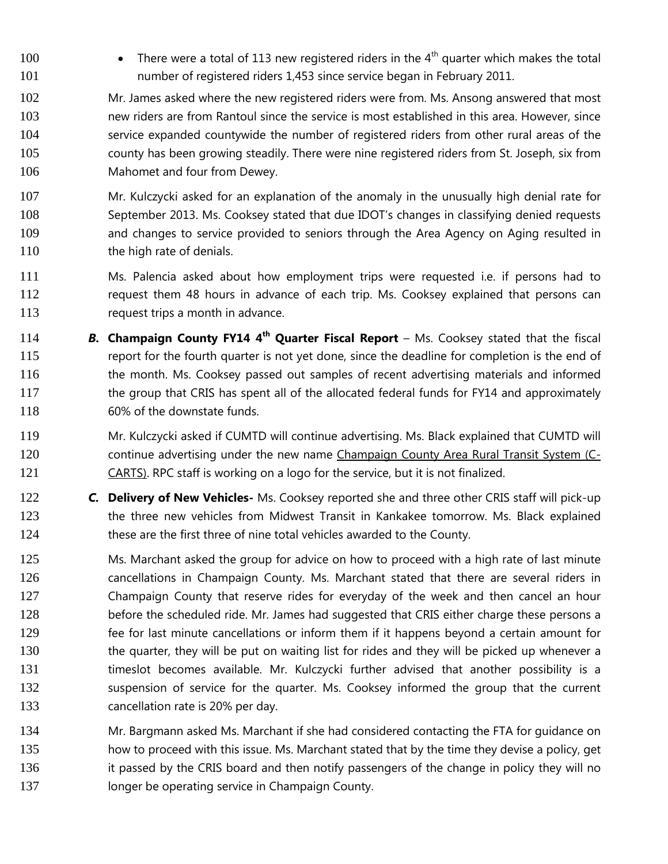100 • There were a total of 113 new registered riders in the  $4<sup>th</sup>$  quarter which makes the total number of registered riders 1,453 since service began in February 2011.

 Mr. James asked where the new registered riders were from. Ms. Ansong answered that most new riders are from Rantoul since the service is most established in this area. However, since service expanded countywide the number of registered riders from other rural areas of the county has been growing steadily. There were nine registered riders from St. Joseph, six from Mahomet and four from Dewey.

 Mr. Kulczycki asked for an explanation of the anomaly in the unusually high denial rate for 108 September 2013. Ms. Cooksey stated that due IDOT's changes in classifying denied requests and changes to service provided to seniors through the Area Agency on Aging resulted in 110 the high rate of denials.

- Ms. Palencia asked about how employment trips were requested i.e. if persons had to request them 48 hours in advance of each trip. Ms. Cooksey explained that persons can 113 request trips a month in advance.
- 114 **B. Champaign County FY14 4<sup>th</sup> Quarter Fiscal Report** Ms. Cooksey stated that the fiscal report for the fourth quarter is not yet done, since the deadline for completion is the end of 116 the month. Ms. Cooksey passed out samples of recent advertising materials and informed 117 the group that CRIS has spent all of the allocated federal funds for FY14 and approximately 60% of the downstate funds.
- Mr. Kulczycki asked if CUMTD will continue advertising. Ms. Black explained that CUMTD will continue advertising under the new name Champaign County Area Rural Transit System (C-121 CARTS). RPC staff is working on a logo for the service, but it is not finalized.
- *C.* **Delivery of New Vehicles-** Ms. Cooksey reported she and three other CRIS staff will pick-up 123 the three new vehicles from Midwest Transit in Kankakee tomorrow. Ms. Black explained 124 these are the first three of nine total vehicles awarded to the County.

125 Ms. Marchant asked the group for advice on how to proceed with a high rate of last minute cancellations in Champaign County. Ms. Marchant stated that there are several riders in Champaign County that reserve rides for everyday of the week and then cancel an hour 128 before the scheduled ride. Mr. James had suggested that CRIS either charge these persons a fee for last minute cancellations or inform them if it happens beyond a certain amount for 130 the quarter, they will be put on waiting list for rides and they will be picked up whenever a 131 timeslot becomes available. Mr. Kulczycki further advised that another possibility is a suspension of service for the quarter. Ms. Cooksey informed the group that the current cancellation rate is 20% per day.

 Mr. Bargmann asked Ms. Marchant if she had considered contacting the FTA for guidance on how to proceed with this issue. Ms. Marchant stated that by the time they devise a policy, get 136 it passed by the CRIS board and then notify passengers of the change in policy they will no **Ionger be operating service in Champaign County.**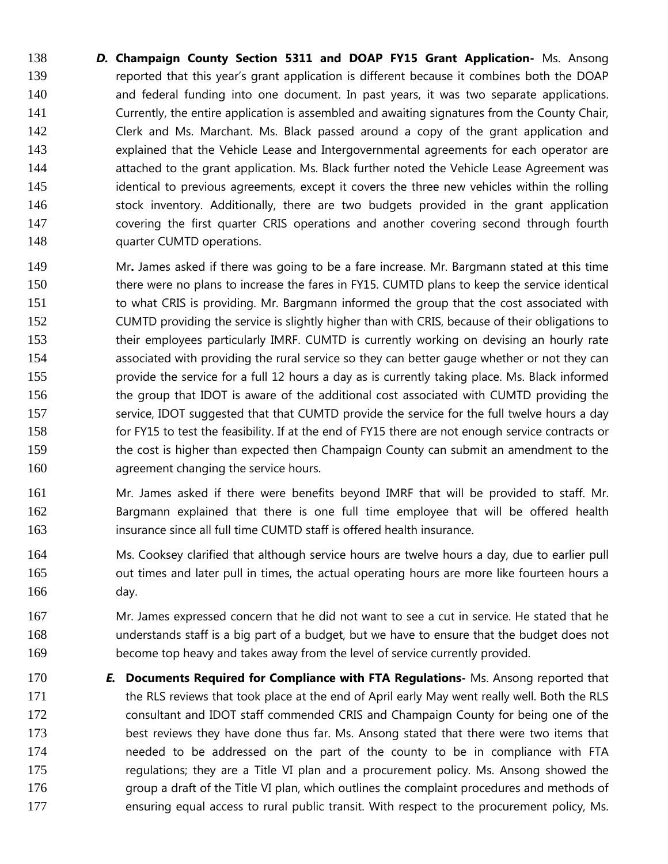*D.* **Champaign County Section 5311 and DOAP FY15 Grant Application-** Ms. Ansong reported that this year's grant application is different because it combines both the DOAP and federal funding into one document. In past years, it was two separate applications. Currently, the entire application is assembled and awaiting signatures from the County Chair, Clerk and Ms. Marchant. Ms. Black passed around a copy of the grant application and explained that the Vehicle Lease and Intergovernmental agreements for each operator are 144 attached to the grant application. Ms. Black further noted the Vehicle Lease Agreement was identical to previous agreements, except it covers the three new vehicles within the rolling stock inventory. Additionally, there are two budgets provided in the grant application covering the first quarter CRIS operations and another covering second through fourth **quarter CUMTD operations.** 

- Mr**.** James asked if there was going to be a fare increase. Mr. Bargmann stated at this time there were no plans to increase the fares in FY15. CUMTD plans to keep the service identical to what CRIS is providing. Mr. Bargmann informed the group that the cost associated with CUMTD providing the service is slightly higher than with CRIS, because of their obligations to 153 their employees particularly IMRF. CUMTD is currently working on devising an hourly rate associated with providing the rural service so they can better gauge whether or not they can provide the service for a full 12 hours a day as is currently taking place. Ms. Black informed 156 the group that IDOT is aware of the additional cost associated with CUMTD providing the 157 service, IDOT suggested that that CUMTD provide the service for the full twelve hours a day for FY15 to test the feasibility. If at the end of FY15 there are not enough service contracts or 159 the cost is higher than expected then Champaign County can submit an amendment to the agreement changing the service hours.
- Mr. James asked if there were benefits beyond IMRF that will be provided to staff. Mr. Bargmann explained that there is one full time employee that will be offered health insurance since all full time CUMTD staff is offered health insurance.
- Ms. Cooksey clarified that although service hours are twelve hours a day, due to earlier pull out times and later pull in times, the actual operating hours are more like fourteen hours a day.
- Mr. James expressed concern that he did not want to see a cut in service. He stated that he understands staff is a big part of a budget, but we have to ensure that the budget does not become top heavy and takes away from the level of service currently provided.
- *E.* **Documents Required for Compliance with FTA Regulations-** Ms. Ansong reported that 171 the RLS reviews that took place at the end of April early May went really well. Both the RLS consultant and IDOT staff commended CRIS and Champaign County for being one of the best reviews they have done thus far. Ms. Ansong stated that there were two items that needed to be addressed on the part of the county to be in compliance with FTA regulations; they are a Title VI plan and a procurement policy. Ms. Ansong showed the **group a draft of the Title VI plan, which outlines the complaint procedures and methods of** 177 ensuring equal access to rural public transit. With respect to the procurement policy, Ms.